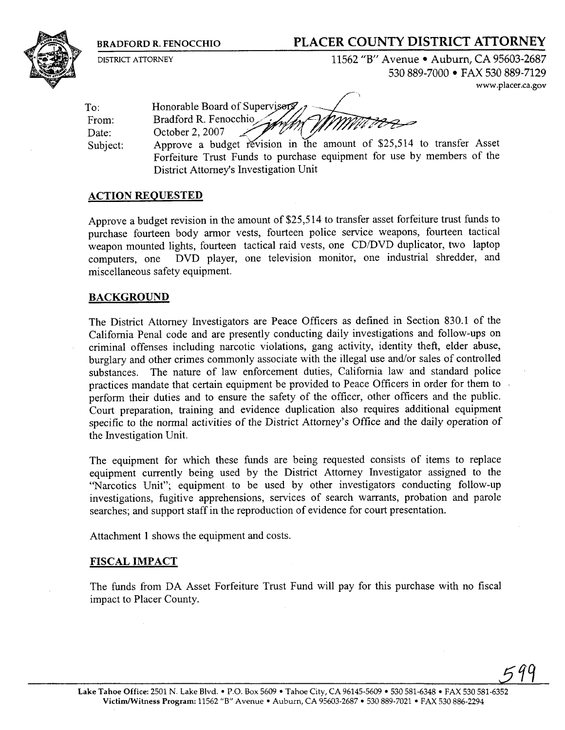## **BRADFORD R. FENOCCHIO PLACER COUNTY DISTRICT ATTORNEY**



DISTRICT ATTORNEY 11562 "B" Avenue • Auburn, CA 95603-2687 530 889-7000 FAX 530 889-7129 **www.placer.ca.gov** 

To: Honorable Board of Supervisers From: Bradford R. Fenocchio Date: October 2, 2007 Subject: Approve a budget revision in the amount of \$25,514 to transfer Asset

Forfeiture Trust Funds to purchase equipment for use by members of the District Attorney's Investigation Unit

### **ACTION REQUESTED**

Approve a budget revision in the amount of \$25,514 to transfer asset forfeiture trust funds to purchase fourteen body armor vests, fourteen police service weapons, fourteen tactical weapon mounted lights, fourteen tactical raid vests, one CD/DVD duplicator, two laptop computers, one DVD player, one television monitor, one industrial shredder, and miscellaneous safety equipment.

#### **BACKGROUND**

The District Attorney Investigators are Peace Officers as defined in Section 830.1 of the California Penal code and are presently conducting daily investigations and follow-ups on criminal offenses including narcotic violations, gang activity, identity theft, elder abuse, burglary and other crimes commonly associate with the illegal use and/or sales of controlled substances. The nature of law enforcement duties, California law and standard police practices mandate that certain equipment be provided to Peace Officers in order for them to perform their duties and to ensure the safety of the officer, other officers and the public. Court preparation, training and evidence duplication also requires additional equipment specific to the normal activities of the District Attorney's Office and the daily operation of the Investigation Unit.

The equipment for which these funds are being requested consists of items to replace equipment currently being used by the District Attorney Investigator assigned to the "Narcotics Unit"; equipment to be used by other investigators conducting follow-up investigations, fugitive apprehensions, services of search warrants, probation and parole searches; and support staff in the reproduction of evidence for court presentation.

Attachment 1 shows the equipment and costs.

#### **FISCAL IMPACT**

The funds from DA Asset Forfeiture Trust Fund will pay for this purchase with no fiscal impact to Placer County.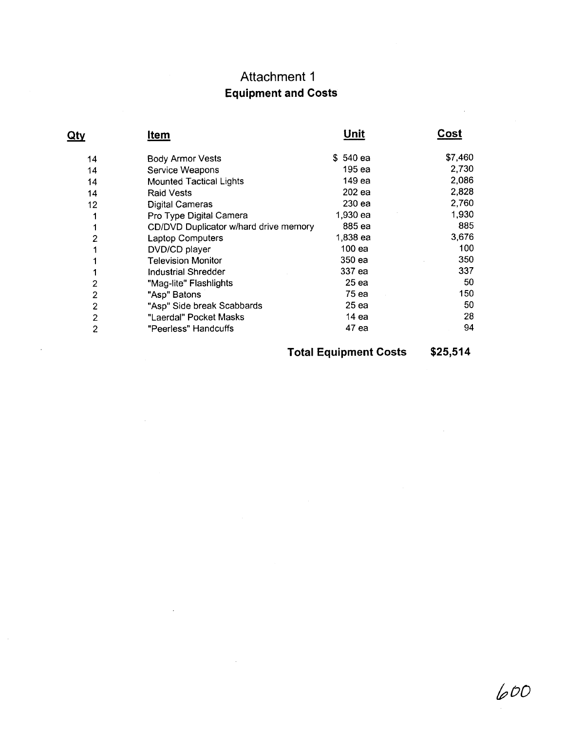# Attachment **I Equipment and Costs**

|                | Attachment 1<br><b>Equipment and Costs</b> |                  |             |
|----------------|--------------------------------------------|------------------|-------------|
| <u>Qty</u>     | <b>Item</b>                                | <u>Unit</u>      | <u>Cost</u> |
| 14             | <b>Body Armor Vests</b>                    | \$540 ea         | \$7,460     |
| 14             | Service Weapons                            | 195 ea           | 2,730       |
| 14             | <b>Mounted Tactical Lights</b>             | 149 ea           | 2,086       |
| 14             | <b>Raid Vests</b>                          | 202 ea           | 2,828       |
| 12             | <b>Digital Cameras</b>                     | 230 ea           | 2,760       |
| 1              | Pro Type Digital Camera                    | 1,930 ea         | 1,930       |
| 1              | CD/DVD Duplicator w/hard drive memory      | 885 ea           | 885         |
| $\overline{c}$ | <b>Laptop Computers</b>                    | 1,838 ea         | 3,676       |
| $\mathbf{1}$   | DVD/CD player                              | 100 ea           | 100         |
| 1              | <b>Television Monitor</b>                  | 350 ea           | 350         |
| 1              | <b>Industrial Shredder</b>                 | 337 ea           | 337         |
| 2              | "Mag-lite" Flashlights                     | 25 <sub>ea</sub> | 50          |
| $\overline{2}$ | "Asp" Batons                               | 75 ea            | 150         |
| $\overline{c}$ | "Asp" Side break Scabbards                 | 25 ea            | 50          |
| 2              | "Laerdal" Pocket Masks                     | 14 ea            | 28          |
| 2              | "Peerless" Handcuffs                       | 47 ea            | 94          |

 $\bar{z}$ 

 $\mathcal{A}$ 

 $\mathcal{L}_{\mathcal{L}}$ 

**Total Equipment Costs** 

\$25,514

600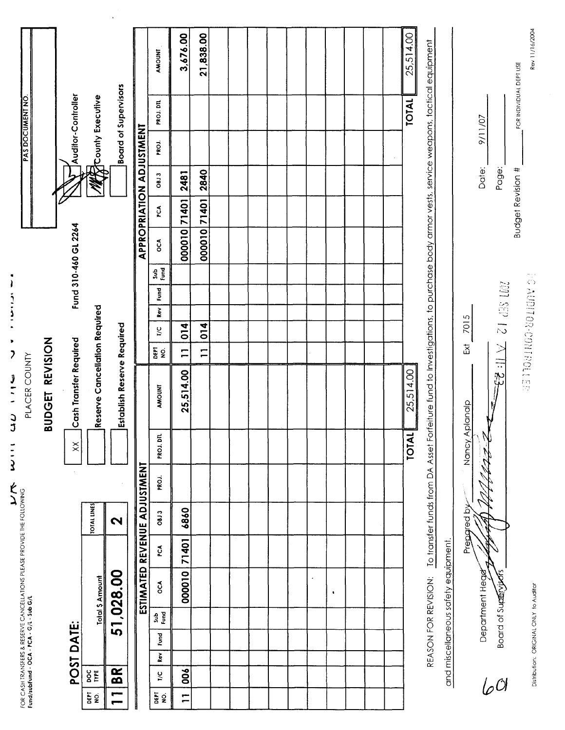| 3,676.00<br>21,838.00<br>AMOUNT<br><b>Board of Supervisors</b><br>Auditor-Controller<br>M County Executive<br>PROJ. DTL<br>APPROPRIATION ADJUSTMENT<br>PROJ.<br>2840<br>2481<br><b>OBJ3</b><br>000010 71401<br>71401<br>PCA<br>Fund 310-460 GL 2264<br>000010<br>ŌСА<br><b>Signa</b><br>Fund<br>eserve Cancellation Required<br>${\bf Re} \nu$<br><b>Establish Reserve Required</b><br>014<br>014<br>ŗς<br>Cash Transfer Required<br><b>EFE</b><br>NS<br>$\overline{1}$<br>$\overline{1}$<br>25,514.00<br><b>AMOUNT</b><br>≃<br>PROJ. DTL<br>$\boldsymbol{\times}$ |  |  |  |  | <b>TOTAL</b><br>25,514.00<br><b>TOTAL</b><br>PROJ. |  | 25,514.00<br>9/11/07<br>Date:<br>7015<br>Ex<br>Nancy Aplanalp<br>W<br><b>AzZ</b> | Page:<br>201 SEP 12 7 11: 23 | Rev 11/16/2004<br>REASON FOR REVISION: To transfer funds from DA Asset Forfeiture fund to Investigations, to purchase body armor vests, service weapons, tactical equipment<br>FOR INDIVIDUAL DEPT USE<br><b>Budget Revision #</b><br><b>PC AUDITOR FOOT ROLLER</b> | FOR CASH TRANSFERS & RESERVE CANCELLATIONS PLEASE PROVIDE THE FOLLOWING<br>Fund/subfund - OCA - PCA - G/L - Sub G/L |  |  |  |  | ᅙ | <b>UDGET REVISION</b><br>PLACER COUNTY |  |  |  |  | PAS DOCUMENT NO. |  |
|--------------------------------------------------------------------------------------------------------------------------------------------------------------------------------------------------------------------------------------------------------------------------------------------------------------------------------------------------------------------------------------------------------------------------------------------------------------------------------------------------------------------------------------------------------------------|--|--|--|--|----------------------------------------------------|--|----------------------------------------------------------------------------------|------------------------------|---------------------------------------------------------------------------------------------------------------------------------------------------------------------------------------------------------------------------------------------------------------------|---------------------------------------------------------------------------------------------------------------------|--|--|--|--|---|----------------------------------------|--|--|--|--|------------------|--|
|                                                                                                                                                                                                                                                                                                                                                                                                                                                                                                                                                                    |  |  |  |  |                                                    |  |                                                                                  |                              |                                                                                                                                                                                                                                                                     | POST DATE:                                                                                                          |  |  |  |  |   |                                        |  |  |  |  |                  |  |
|                                                                                                                                                                                                                                                                                                                                                                                                                                                                                                                                                                    |  |  |  |  |                                                    |  |                                                                                  |                              |                                                                                                                                                                                                                                                                     | <b>TOTAL LINES</b><br><b>Total \$ Amount</b><br><b>DOE</b>                                                          |  |  |  |  |   |                                        |  |  |  |  |                  |  |
|                                                                                                                                                                                                                                                                                                                                                                                                                                                                                                                                                                    |  |  |  |  |                                                    |  |                                                                                  |                              |                                                                                                                                                                                                                                                                     | $\mathbf{\Omega}$<br>51,028.00<br><b>BR</b>                                                                         |  |  |  |  |   |                                        |  |  |  |  |                  |  |
|                                                                                                                                                                                                                                                                                                                                                                                                                                                                                                                                                                    |  |  |  |  |                                                    |  |                                                                                  |                              |                                                                                                                                                                                                                                                                     | ESTIMATED REVENUE ADJUSTMENT                                                                                        |  |  |  |  |   |                                        |  |  |  |  |                  |  |
|                                                                                                                                                                                                                                                                                                                                                                                                                                                                                                                                                                    |  |  |  |  |                                                    |  |                                                                                  |                              |                                                                                                                                                                                                                                                                     | 08J3<br>PCA<br>ŌСА<br>Sub<br>Eura<br>Fund<br>Rev<br>$\frac{1}{2}$                                                   |  |  |  |  |   |                                        |  |  |  |  |                  |  |
|                                                                                                                                                                                                                                                                                                                                                                                                                                                                                                                                                                    |  |  |  |  |                                                    |  |                                                                                  |                              |                                                                                                                                                                                                                                                                     | 6860<br>71401<br>000010<br>006                                                                                      |  |  |  |  |   |                                        |  |  |  |  |                  |  |
|                                                                                                                                                                                                                                                                                                                                                                                                                                                                                                                                                                    |  |  |  |  |                                                    |  |                                                                                  |                              |                                                                                                                                                                                                                                                                     |                                                                                                                     |  |  |  |  |   |                                        |  |  |  |  |                  |  |
|                                                                                                                                                                                                                                                                                                                                                                                                                                                                                                                                                                    |  |  |  |  |                                                    |  |                                                                                  |                              |                                                                                                                                                                                                                                                                     |                                                                                                                     |  |  |  |  |   |                                        |  |  |  |  |                  |  |
|                                                                                                                                                                                                                                                                                                                                                                                                                                                                                                                                                                    |  |  |  |  |                                                    |  |                                                                                  |                              |                                                                                                                                                                                                                                                                     |                                                                                                                     |  |  |  |  |   |                                        |  |  |  |  |                  |  |

- ^ ^ ^ ^ 》 ここ ココ ニュー ヒー